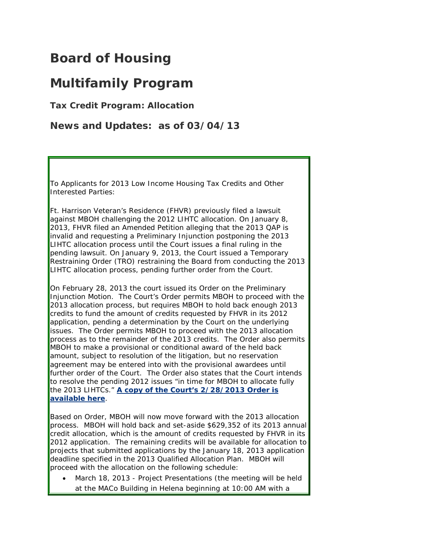## **Board of Housing**

## **Multifamily Program**

**Tax Credit Program: Allocation**

**News and Updates: as of 03/04/13**

To Applicants for 2013 Low Income Housing Tax Credits and Other Interested Parties:

Ft. Harrison Veteran's Residence (FHVR) previously filed a lawsuit against MBOH challenging the 2012 LIHTC allocation. On January 8, 2013, FHVR filed an Amended Petition alleging that the 2013 QAP is invalid and requesting a Preliminary Injunction postponing the 2013 LIHTC allocation process until the Court issues a final ruling in the pending lawsuit. On January 9, 2013, the Court issued a Temporary Restraining Order (TRO) restraining the Board from conducting the 2013 LIHTC allocation process, pending further order from the Court.

On February 28, 2013 the court issued its Order on the Preliminary Injunction Motion. The Court's Order permits MBOH to proceed with the 2013 allocation process, but requires MBOH to hold back enough 2013 credits to fund the amount of credits requested by FHVR in its 2012 application, pending a determination by the Court on the underlying issues. The Order permits MBOH to proceed with the 2013 allocation process as to the remainder of the 2013 credits. The Order also permits MBOH to make a provisional or conditional award of the held back amount, subject to resolution of the litigation, but no reservation agreement may be entered into with the provisional awardees until further order of the Court. The Order also states that the Court intends to resolve the pending 2012 issues "in time for MBOH to allocate fully the 2013 LIHTCs." **[A copy of the Court's 2/28/2013 Order is](http://housing.mt.gov/content/About/MBOH/docs/2013Feb28OrderREPreliminaryInjunction.pdf)  [available](http://housing.mt.gov/content/About/MBOH/docs/2013Feb28OrderREPreliminaryInjunction.pdf) here**.

Based on Order, MBOH will now move forward with the 2013 allocation process. MBOH will hold back and set-aside \$629,352 of its 2013 annual credit allocation, which is the amount of credits requested by FHVR in its 2012 application. The remaining credits will be available for allocation to projects that submitted applications by the January 18, 2013 application deadline specified in the 2013 Qualified Allocation Plan. MBOH will proceed with the allocation on the following schedule:

• March 18, 2013 - Project Presentations (the meeting will be held at the MACo Building in Helena beginning at 10:00 AM with a